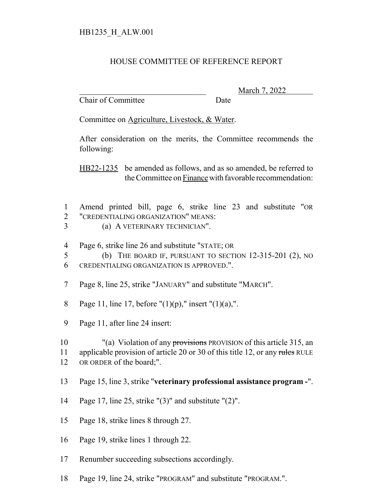## HB1235\_H\_ALW.001

## HOUSE COMMITTEE OF REFERENCE REPORT

Chair of Committee Date

\_\_\_\_\_\_\_\_\_\_\_\_\_\_\_\_\_\_\_\_\_\_\_\_\_\_\_\_\_\_\_ March 7, 2022

Committee on Agriculture, Livestock, & Water.

After consideration on the merits, the Committee recommends the following:

HB22-1235 be amended as follows, and as so amended, be referred to the Committee on Finance with favorable recommendation:

- 1 Amend printed bill, page 6, strike line 23 and substitute "OR 2 "CREDENTIALING ORGANIZATION" MEANS:
- 3 (a) A VETERINARY TECHNICIAN".
- 4 Page 6, strike line 26 and substitute "STATE; OR
- 5 (b) THE BOARD IF, PURSUANT TO SECTION 12-315-201 (2), NO 6 CREDENTIALING ORGANIZATION IS APPROVED.".
- 7 Page 8, line 25, strike "JANUARY" and substitute "MARCH".
- 8 Page 11, line 17, before " $(1)(p)$ ," insert " $(1)(a)$ ,".
- 9 Page 11, after line 24 insert:

10 "(a) Violation of any provisions PROVISION of this article 315, an 11 applicable provision of article 20 or 30 of this title 12, or any rules RULE 12 OR ORDER of the board;".

- 13 Page 15, line 3, strike "**veterinary professional assistance program -**".
- 14 Page 17, line 25, strike "(3)" and substitute "(2)".
- 15 Page 18, strike lines 8 through 27.
- 16 Page 19, strike lines 1 through 22.
- 17 Renumber succeeding subsections accordingly.
- 18 Page 19, line 24, strike "PROGRAM" and substitute "PROGRAM.".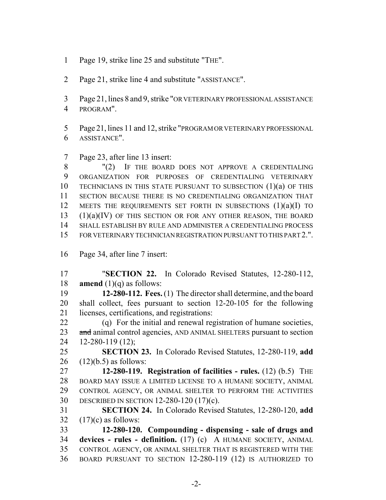- Page 19, strike line 25 and substitute "THE".
- Page 21, strike line 4 and substitute "ASSISTANCE".
- Page 21, lines 8 and 9, strike "OR VETERINARY PROFESSIONAL ASSISTANCE PROGRAM".
- Page 21, lines 11 and 12, strike "PROGRAM OR VETERINARY PROFESSIONAL ASSISTANCE".
- Page 23, after line 13 insert:

8 "(2) IF THE BOARD DOES NOT APPROVE A CREDENTIALING ORGANIZATION FOR PURPOSES OF CREDENTIALING VETERINARY TECHNICIANS IN THIS STATE PURSUANT TO SUBSECTION (1)(a) OF THIS SECTION BECAUSE THERE IS NO CREDENTIALING ORGANIZATION THAT 12 MEETS THE REQUIREMENTS SET FORTH IN SUBSECTIONS (1)(a)(I) TO  $(1)(a)(IV)$  OF THIS SECTION OR FOR ANY OTHER REASON, THE BOARD SHALL ESTABLISH BY RULE AND ADMINISTER A CREDENTIALING PROCESS FOR VETERINARY TECHNICIAN REGISTRATION PURSUANT TO THIS PART 2.".

Page 34, after line 7 insert:

 "**SECTION 22.** In Colorado Revised Statutes, 12-280-112, **amend** (1)(q) as follows:

 **12-280-112. Fees.** (1) The director shall determine, and the board shall collect, fees pursuant to section 12-20-105 for the following licenses, certifications, and registrations:

 (q) For the initial and renewal registration of humane societies, 23 and animal control agencies, AND ANIMAL SHELTERS pursuant to section 12-280-119 (12);

 **SECTION 23.** In Colorado Revised Statutes, 12-280-119, **add** (12)(b.5) as follows:

 **12-280-119. Registration of facilities - rules.** (12) (b.5) THE BOARD MAY ISSUE A LIMITED LICENSE TO A HUMANE SOCIETY, ANIMAL CONTROL AGENCY, OR ANIMAL SHELTER TO PERFORM THE ACTIVITIES DESCRIBED IN SECTION 12-280-120 (17)(c).

 **SECTION 24.** In Colorado Revised Statutes, 12-280-120, **add** 32  $(17)(c)$  as follows:

 **12-280-120. Compounding - dispensing - sale of drugs and devices - rules - definition.** (17) (c) A HUMANE SOCIETY, ANIMAL CONTROL AGENCY, OR ANIMAL SHELTER THAT IS REGISTERED WITH THE BOARD PURSUANT TO SECTION 12-280-119 (12) IS AUTHORIZED TO